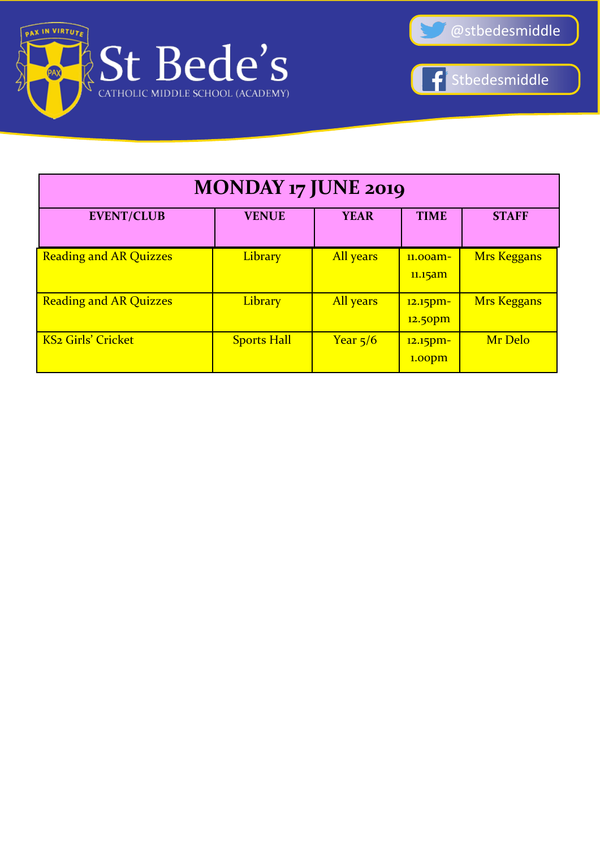



 $\overline{\textbf{f}}$ Stbedesmiddle

| MONDAY 17 JUNE 2019           |                    |             |                                   |                    |  |
|-------------------------------|--------------------|-------------|-----------------------------------|--------------------|--|
| <b>EVENT/CLUB</b>             | <b>VENUE</b>       | <b>YEAR</b> | <b>TIME</b>                       | <b>STAFF</b>       |  |
| <b>Reading and AR Quizzes</b> | <b>Library</b>     | All years   | $11.00$ am-<br>11.15am            | <b>Mrs Keggans</b> |  |
| <b>Reading and AR Quizzes</b> | Library            | All years   | 12.15pm-<br>12.50pm               | Mrs Keggans        |  |
| <b>KS2 Girls' Cricket</b>     | <b>Sports Hall</b> | Year $5/6$  | $12.15$ pm-<br>1.00 <sub>pm</sub> | Mr Delo            |  |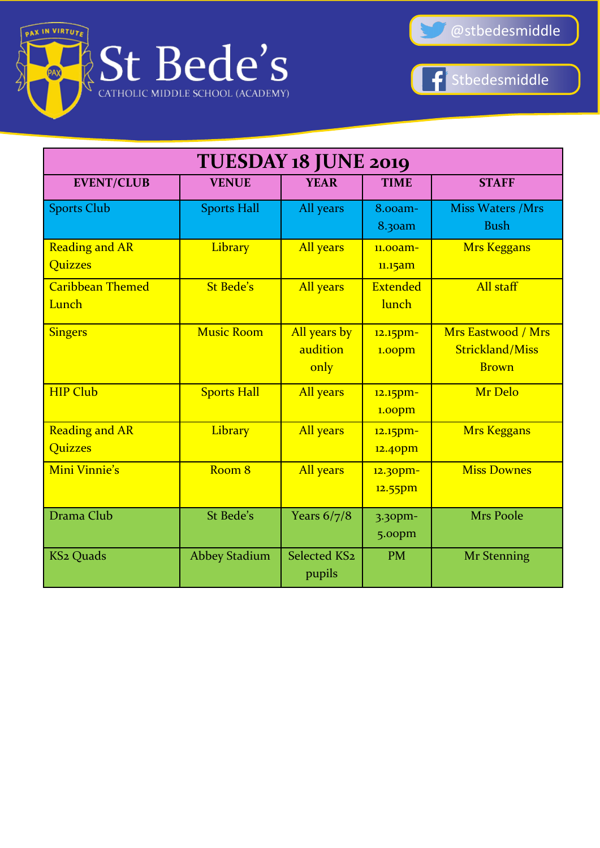





| TUESDAY 18 JUNE 2019                    |                      |                                  |                                |                                                              |
|-----------------------------------------|----------------------|----------------------------------|--------------------------------|--------------------------------------------------------------|
| <b>EVENT/CLUB</b>                       | <b>VENUE</b>         | <b>YEAR</b>                      | <b>TIME</b>                    | <b>STAFF</b>                                                 |
| <b>Sports Club</b>                      | <b>Sports Hall</b>   | All years                        | 8.00am-<br>8.30am              | <b>Miss Waters /Mrs</b><br><b>Bush</b>                       |
| <b>Reading and AR</b><br><b>Quizzes</b> | Library              | All years                        | 11.00am-<br>11.15am            | <b>Mrs Keggans</b>                                           |
| <b>Caribbean Themed</b><br>Lunch        | <b>St Bede's</b>     | All years                        | <b>Extended</b><br>lunch       | All staff                                                    |
| <b>Singers</b>                          | <b>Music Room</b>    | All years by<br>audition<br>only | 12.15pm-<br>1.00 <sub>pm</sub> | Mrs Eastwood / Mrs<br><b>Strickland/Miss</b><br><b>Brown</b> |
| <b>HIP Club</b>                         | <b>Sports Hall</b>   | All years                        | 12.15pm-<br>1.00pm             | Mr Delo                                                      |
| <b>Reading and AR</b><br><b>Quizzes</b> | Library              | All years                        | 12.15pm-<br>12.40pm            | <b>Mrs Keggans</b>                                           |
| Mini Vinnie's                           | Room <sub>8</sub>    | All years                        | 12.30pm-<br>$12.55$ pm         | <b>Miss Downes</b>                                           |
| Drama Club                              | St Bede's            | Years $6/7/8$                    | $3.30$ pm-<br>5.00pm           | <b>Mrs Poole</b>                                             |
| <b>KS2 Quads</b>                        | <b>Abbey Stadium</b> | Selected KS2<br>pupils           | <b>PM</b>                      | <b>Mr Stenning</b>                                           |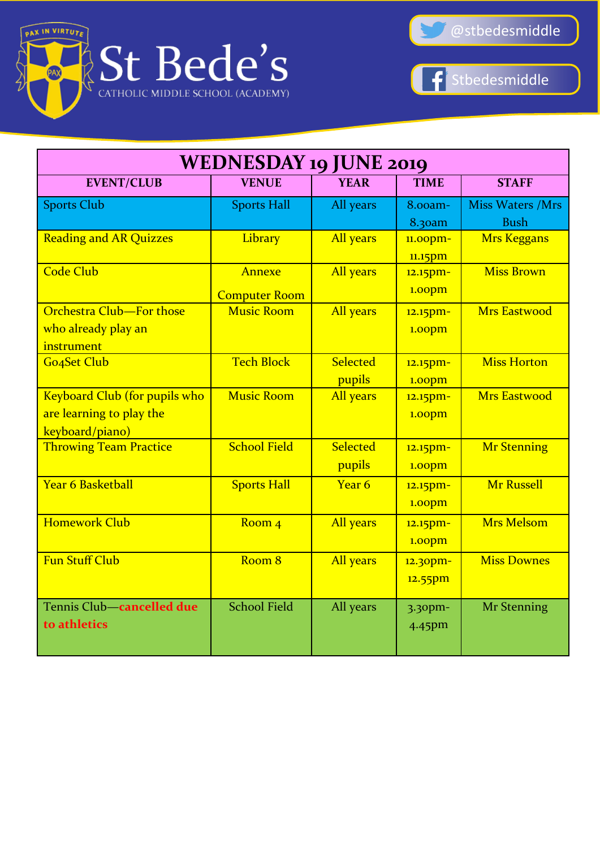



Stbedesmiddle  $\left| \mathbf{f} \right|$ 

| <b>WEDNESDAY 19 JUNE 2019</b> |                      |             |                    |                         |  |
|-------------------------------|----------------------|-------------|--------------------|-------------------------|--|
| <b>EVENT/CLUB</b>             | <b>VENUE</b>         | <b>YEAR</b> | <b>TIME</b>        | <b>STAFF</b>            |  |
| <b>Sports Club</b>            | <b>Sports Hall</b>   | All years   | 8.00am-            | <b>Miss Waters /Mrs</b> |  |
|                               |                      |             | 8.30am             | <b>Bush</b>             |  |
| <b>Reading and AR Quizzes</b> | Library              | All years   | $11.00$ pm-        | <b>Mrs Keggans</b>      |  |
|                               |                      |             | 11.15pm            |                         |  |
| <b>Code Club</b>              | Annexe               | All years   | 12.15pm-           | <b>Miss Brown</b>       |  |
|                               | <b>Computer Room</b> |             | 1.00 <sub>pm</sub> |                         |  |
| Orchestra Club-For those      | <b>Music Room</b>    | All years   | 12.15pm-           | <b>Mrs Eastwood</b>     |  |
| who already play an           |                      |             | 1.00 <sub>pm</sub> |                         |  |
| instrument                    |                      |             |                    |                         |  |
| Go4Set Club                   | <b>Tech Block</b>    | Selected    | 12.15pm-           | <b>Miss Horton</b>      |  |
|                               |                      | pupils      | 1.00pm             |                         |  |
| Keyboard Club (for pupils who | <b>Music Room</b>    | All years   | 12.15pm-           | <b>Mrs Eastwood</b>     |  |
| are learning to play the      |                      |             | 1.00pm             |                         |  |
| keyboard/piano)               |                      |             |                    |                         |  |
| <b>Throwing Team Practice</b> | <b>School Field</b>  | Selected    | 12.15pm-           | <b>Mr Stenning</b>      |  |
|                               |                      | pupils      | 1.00pm             |                         |  |
| <b>Year 6 Basketball</b>      | <b>Sports Hall</b>   | Year 6      | 12.15pm-           | <b>Mr Russell</b>       |  |
|                               |                      |             | 1.00pm             |                         |  |
| <b>Homework Club</b>          | Room <sub>4</sub>    | All years   | 12.15pm-           | <b>Mrs Melsom</b>       |  |
|                               |                      |             | 1.00pm             |                         |  |
| <b>Fun Stuff Club</b>         | Room <sub>8</sub>    | All years   | 12.30pm-           | <b>Miss Downes</b>      |  |
|                               |                      |             | 12.55pm            |                         |  |
|                               |                      |             |                    |                         |  |
| Tennis Club-cancelled due     | <b>School Field</b>  | All years   | $3.30$ pm-         | <b>Mr Stenning</b>      |  |
| to athletics                  |                      |             | 4.45pm             |                         |  |
|                               |                      |             |                    |                         |  |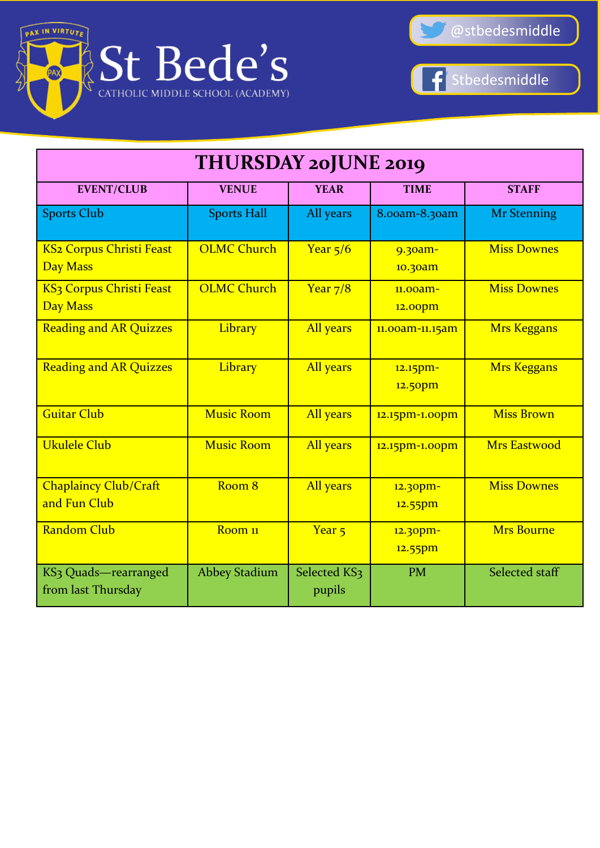



 $\vert \textbf{f} \vert$ Stbedesmiddle

| <b>THURSDAY 20JUNE 2019</b>                             |                      |                        |                        |                     |  |
|---------------------------------------------------------|----------------------|------------------------|------------------------|---------------------|--|
| <b>EVENT/CLUB</b>                                       | <b>VENUE</b>         | <b>YEAR</b>            | <b>TIME</b>            | <b>STAFF</b>        |  |
| <b>Sports Club</b>                                      | <b>Sports Hall</b>   | All years              | 8.00am-8.30am          | <b>Mr Stenning</b>  |  |
| <b>KS2 Corpus Christi Feast</b><br><b>Day Mass</b>      | <b>OLMC Church</b>   | Year $5/6$             | 9.30am-<br>10.30am     | <b>Miss Downes</b>  |  |
| KS <sub>3</sub> Corpus Christi Feast<br><b>Day Mass</b> | <b>OLMC Church</b>   | Year $7/8$             | $11.00$ am-<br>12.00pm | <b>Miss Downes</b>  |  |
| <b>Reading and AR Quizzes</b>                           | Library              | All years              | 11.00am-11.15am        | <b>Mrs Keggans</b>  |  |
| <b>Reading and AR Quizzes</b>                           | Library              | All years              | 12.15pm-<br>12.50pm    | <b>Mrs Keggans</b>  |  |
| <b>Guitar Club</b>                                      | <b>Music Room</b>    | All years              | 12.15pm-1.00pm         | <b>Miss Brown</b>   |  |
| <b>Ukulele Club</b>                                     | <b>Music Room</b>    | All years              | 12.15pm-1.00pm         | <b>Mrs Eastwood</b> |  |
| <b>Chaplaincy Club/Craft</b><br>and Fun Club            | Room 8               | All years              | 12.30pm-<br>$12.55$ pm | <b>Miss Downes</b>  |  |
| <b>Random Club</b>                                      | Room <sub>11</sub>   | Year <sub>5</sub>      | 12.30pm-<br>12.55pm    | <b>Mrs Bourne</b>   |  |
| KS3 Quads-rearranged<br>from last Thursday              | <b>Abbey Stadium</b> | Selected KS3<br>pupils | <b>PM</b>              | Selected staff      |  |